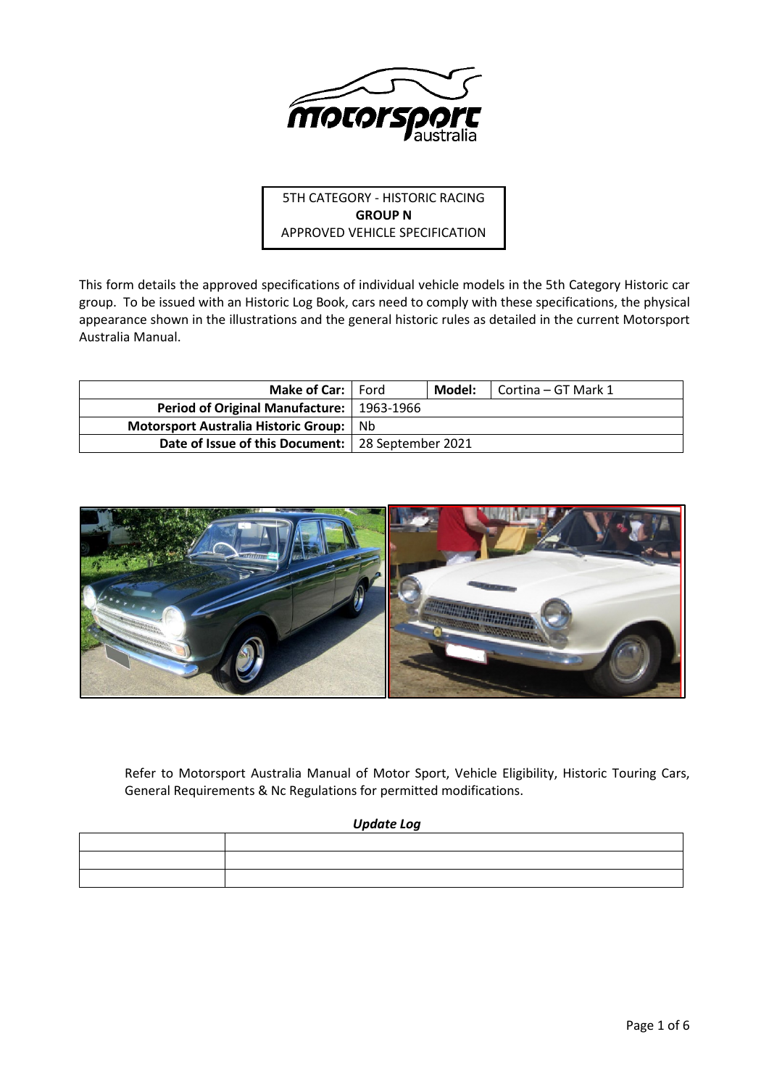

5TH CATEGORY - HISTORIC RACING **GROUP N** APPROVED VEHICLE SPECIFICATION

This form details the approved specifications of individual vehicle models in the 5th Category Historic car group. To be issued with an Historic Log Book, cars need to comply with these specifications, the physical appearance shown in the illustrations and the general historic rules as detailed in the current Motorsport Australia Manual.

| <b>Make of Car:</b>   Ford                          |     | Model: | Cortina – GT Mark 1 |
|-----------------------------------------------------|-----|--------|---------------------|
| Period of Original Manufacture:   1963-1966         |     |        |                     |
| Motorsport Australia Historic Group:                | -Nb |        |                     |
| Date of Issue of this Document:   28 September 2021 |     |        |                     |



Refer to Motorsport Australia Manual of Motor Sport, Vehicle Eligibility, Historic Touring Cars, General Requirements & Nc Regulations for permitted modifications.

# *Update Log*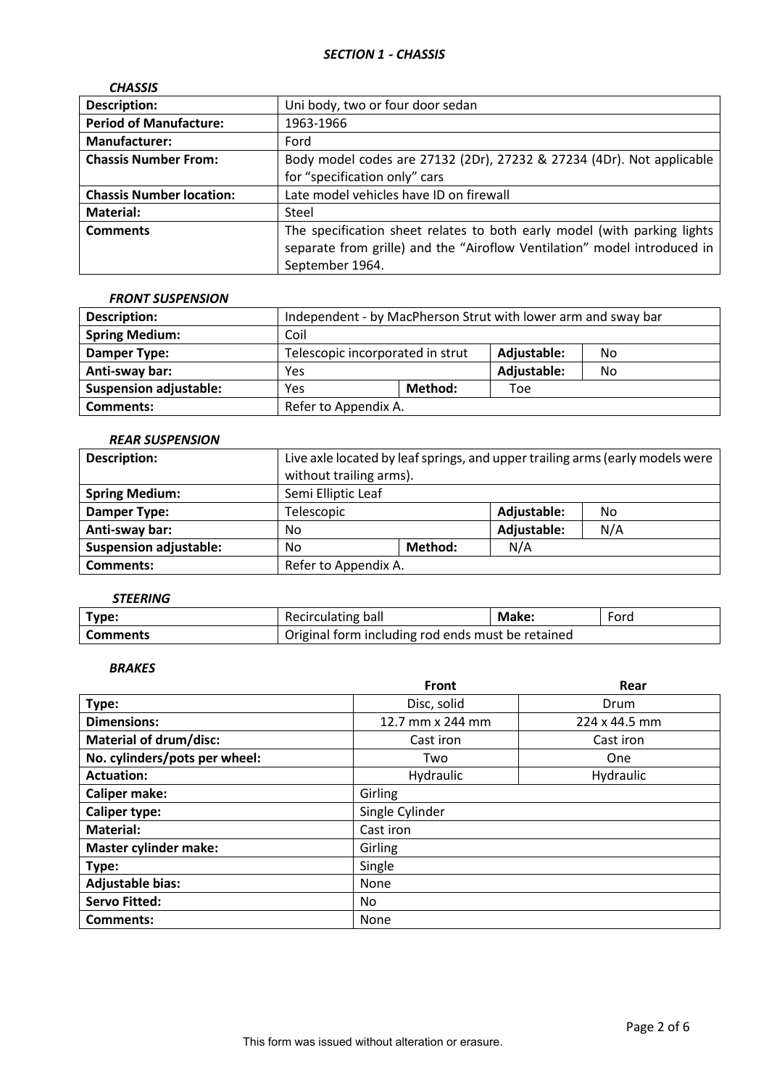| <b>CHASSIS</b>                  |                                                                                                                                                                         |
|---------------------------------|-------------------------------------------------------------------------------------------------------------------------------------------------------------------------|
| <b>Description:</b>             | Uni body, two or four door sedan                                                                                                                                        |
| <b>Period of Manufacture:</b>   | 1963-1966                                                                                                                                                               |
| <b>Manufacturer:</b>            | Ford                                                                                                                                                                    |
| <b>Chassis Number From:</b>     | Body model codes are 27132 (2Dr), 27232 & 27234 (4Dr). Not applicable<br>for "specification only" cars                                                                  |
| <b>Chassis Number location:</b> | Late model vehicles have ID on firewall                                                                                                                                 |
| <b>Material:</b>                | Steel                                                                                                                                                                   |
| <b>Comments</b>                 | The specification sheet relates to both early model (with parking lights<br>separate from grille) and the "Airoflow Ventilation" model introduced in<br>September 1964. |

# *FRONT SUSPENSION*

| <b>Description:</b>           | Independent - by MacPherson Strut with lower arm and sway bar |                                                       |             |    |
|-------------------------------|---------------------------------------------------------------|-------------------------------------------------------|-------------|----|
| <b>Spring Medium:</b>         | Coil                                                          |                                                       |             |    |
| <b>Damper Type:</b>           |                                                               | Telescopic incorporated in strut<br>Adjustable:<br>No |             |    |
| Anti-sway bar:                | Yes                                                           |                                                       | Adjustable: | No |
| <b>Suspension adjustable:</b> | Yes                                                           | Method:                                               | Toe         |    |
| <b>Comments:</b>              | Refer to Appendix A.                                          |                                                       |             |    |

# *REAR SUSPENSION*

| <b>Description:</b>           |                    | Live axle located by leaf springs, and upper trailing arms (early models were<br>without trailing arms). |  |     |
|-------------------------------|--------------------|----------------------------------------------------------------------------------------------------------|--|-----|
| <b>Spring Medium:</b>         | Semi Elliptic Leaf |                                                                                                          |  |     |
| <b>Damper Type:</b>           | Telescopic         |                                                                                                          |  | No  |
| Anti-sway bar:                | No                 |                                                                                                          |  | N/A |
| <b>Suspension adjustable:</b> | No                 | N/A<br>Method:                                                                                           |  |     |
| <b>Comments:</b>              |                    | Refer to Appendix A.                                                                                     |  |     |

# *STEERING*

| Type:           | Recirculating ball                                | <b>Make:</b> | Ford |
|-----------------|---------------------------------------------------|--------------|------|
| <b>Comments</b> | Original form including rod ends must be retained |              |      |

## *BRAKES*

|                               | Front            | Rear                 |  |  |
|-------------------------------|------------------|----------------------|--|--|
| Type:                         | Disc, solid      | Drum                 |  |  |
| <b>Dimensions:</b>            | 12.7 mm x 244 mm | $224 \times 44.5$ mm |  |  |
| <b>Material of drum/disc:</b> | Cast iron        | Cast iron            |  |  |
| No. cylinders/pots per wheel: | Two              | One                  |  |  |
| <b>Actuation:</b>             | Hydraulic        | Hydraulic            |  |  |
| <b>Caliper make:</b>          | Girling          |                      |  |  |
| <b>Caliper type:</b>          | Single Cylinder  |                      |  |  |
| <b>Material:</b>              | Cast iron        |                      |  |  |
| <b>Master cylinder make:</b>  | Girling          |                      |  |  |
| Type:                         | Single           |                      |  |  |
| <b>Adjustable bias:</b>       | <b>None</b>      |                      |  |  |
| <b>Servo Fitted:</b>          | No.              |                      |  |  |
| Comments:                     | None             |                      |  |  |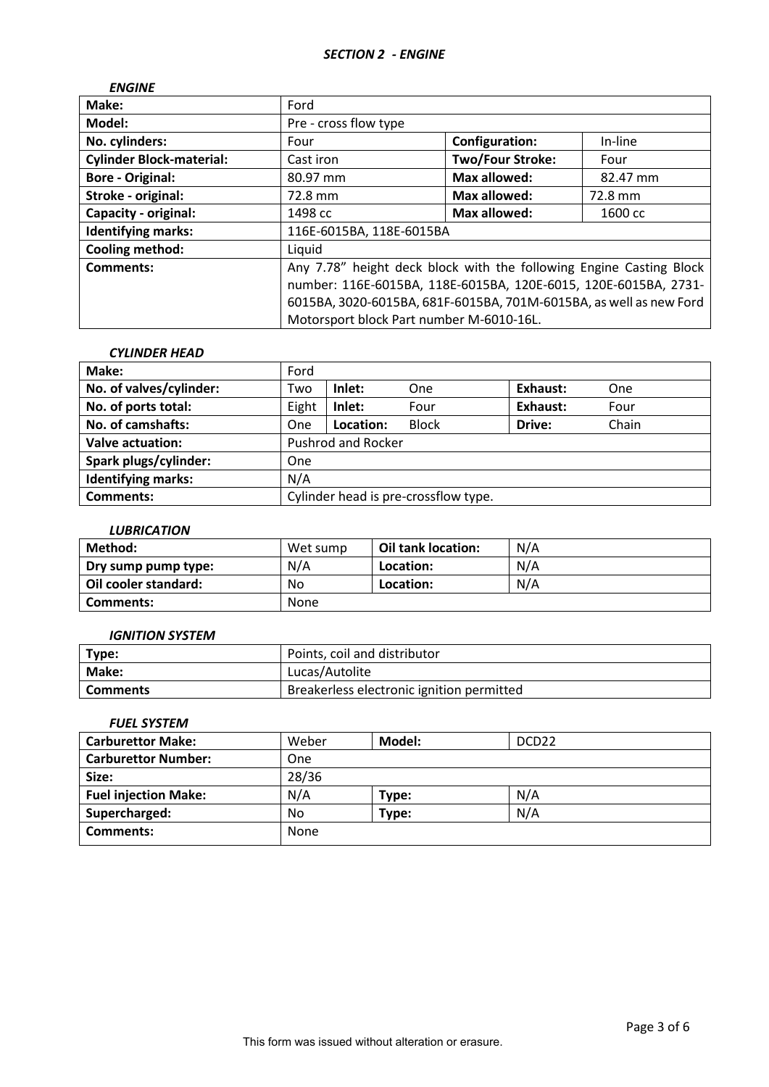| <b>ENGINE</b>                   |                                                                     |                         |          |
|---------------------------------|---------------------------------------------------------------------|-------------------------|----------|
| Make:                           | Ford                                                                |                         |          |
| Model:                          | Pre - cross flow type                                               |                         |          |
| No. cylinders:                  | Four                                                                | <b>Configuration:</b>   | In-line  |
| <b>Cylinder Block-material:</b> | Cast iron                                                           | <b>Two/Four Stroke:</b> | Four     |
| <b>Bore - Original:</b>         | 80.97 mm                                                            | Max allowed:            | 82.47 mm |
| Stroke - original:              | 72.8 mm                                                             | <b>Max allowed:</b>     | 72.8 mm  |
| <b>Capacity - original:</b>     | 1498 cc                                                             | <b>Max allowed:</b>     | 1600 cc  |
| <b>Identifying marks:</b>       | 116E-6015BA, 118E-6015BA                                            |                         |          |
| <b>Cooling method:</b>          | Liquid                                                              |                         |          |
| Comments:                       | Any 7.78" height deck block with the following Engine Casting Block |                         |          |
|                                 | number: 116E-6015BA, 118E-6015BA, 120E-6015, 120E-6015BA, 2731-     |                         |          |
|                                 | 6015BA, 3020-6015BA, 681F-6015BA, 701M-6015BA, as well as new Ford  |                         |          |
|                                 | Motorsport block Part number M-6010-16L.                            |                         |          |

## *CYLINDER HEAD*

| Make:                     | Ford                                 |           |              |          |       |
|---------------------------|--------------------------------------|-----------|--------------|----------|-------|
| No. of valves/cylinder:   | Two                                  | Inlet:    | One          | Exhaust: | One   |
| No. of ports total:       | Eight                                | Inlet:    | Four         | Exhaust: | Four  |
| No. of camshafts:         | One                                  | Location: | <b>Block</b> | Drive:   | Chain |
| <b>Valve actuation:</b>   | <b>Pushrod and Rocker</b>            |           |              |          |       |
| Spark plugs/cylinder:     | One                                  |           |              |          |       |
| <b>Identifying marks:</b> | N/A                                  |           |              |          |       |
| <b>Comments:</b>          | Cylinder head is pre-crossflow type. |           |              |          |       |

## *LUBRICATION*

| Method:              | Wet sump | Oil tank location: | N/A |
|----------------------|----------|--------------------|-----|
| Dry sump pump type:  | N/A      | Location:          | N/A |
| Oil cooler standard: | No       | Location:          | N/A |
| Comments:            | None     |                    |     |

## *IGNITION SYSTEM*

| Type:        | Points, coil and distributor              |
|--------------|-------------------------------------------|
| <b>Make:</b> | Lucas/Autolite                            |
| Comments     | Breakerless electronic ignition permitted |

# *FUEL SYSTEM*

| <b>Carburettor Make:</b>    | Weber | Model: | DCD <sub>22</sub> |
|-----------------------------|-------|--------|-------------------|
| <b>Carburettor Number:</b>  | One   |        |                   |
| Size:                       | 28/36 |        |                   |
| <b>Fuel injection Make:</b> | N/A   | Type:  | N/A               |
| Supercharged:               | No.   | Type:  | N/A               |
| <b>Comments:</b>            | None  |        |                   |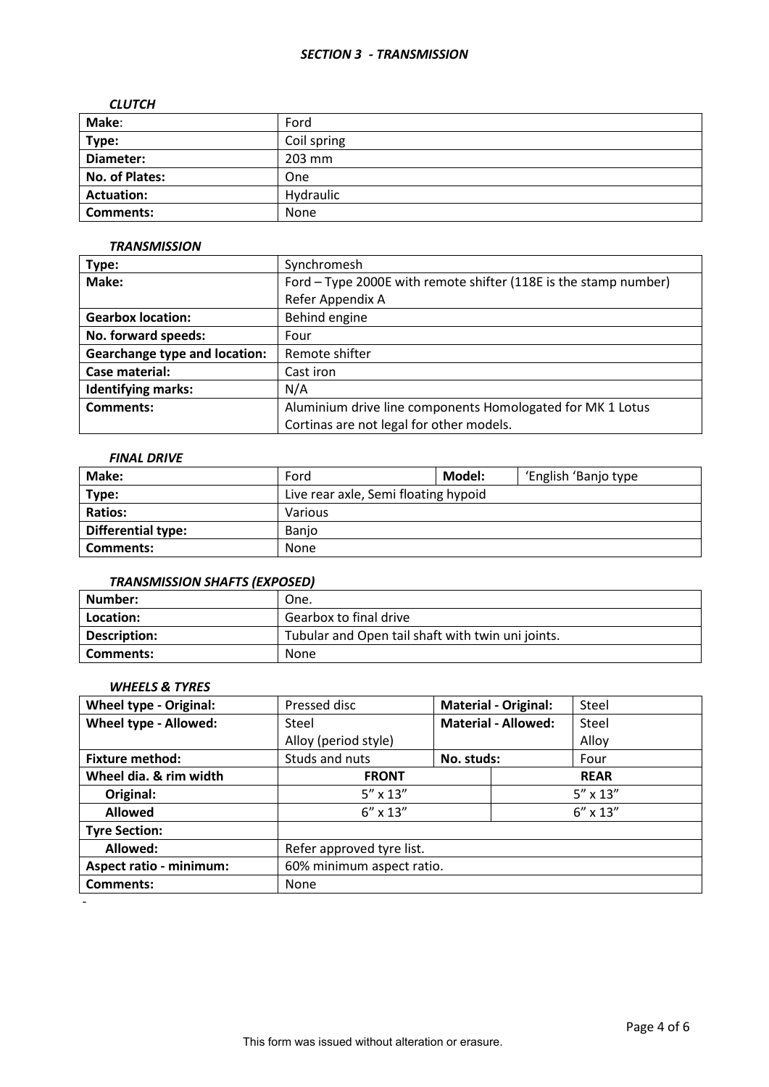## *SECTION 3 - TRANSMISSION*

#### *CLUTCH*

| Make:             | Ford        |
|-------------------|-------------|
| Type:             | Coil spring |
| Diameter:         | 203 mm      |
| No. of Plates:    | One         |
| <b>Actuation:</b> | Hydraulic   |
| <b>Comments:</b>  | None        |

## *TRANSMISSION*

| Type:                                | Synchromesh                                                      |  |  |
|--------------------------------------|------------------------------------------------------------------|--|--|
| Make:                                | Ford – Type 2000E with remote shifter (118E is the stamp number) |  |  |
|                                      | Refer Appendix A                                                 |  |  |
| <b>Gearbox location:</b>             | Behind engine                                                    |  |  |
| No. forward speeds:                  | Four                                                             |  |  |
| <b>Gearchange type and location:</b> | Remote shifter                                                   |  |  |
| Case material:                       | Cast iron                                                        |  |  |
| <b>Identifying marks:</b>            | N/A                                                              |  |  |
| <b>Comments:</b>                     | Aluminium drive line components Homologated for MK 1 Lotus       |  |  |
|                                      | Cortinas are not legal for other models.                         |  |  |

# *FINAL DRIVE*

| Make:              | Ford                                 | Model: | 'English 'Banjo type |  |
|--------------------|--------------------------------------|--------|----------------------|--|
| Type:              | Live rear axle, Semi floating hypoid |        |                      |  |
| <b>Ratios:</b>     | Various                              |        |                      |  |
| Differential type: | <b>Banio</b>                         |        |                      |  |
| <b>Comments:</b>   | None                                 |        |                      |  |

# *TRANSMISSION SHAFTS (EXPOSED)*

| Number:      | One.                                              |
|--------------|---------------------------------------------------|
| Location:    | Gearbox to final drive                            |
| Description: | Tubular and Open tail shaft with twin uni joints. |
| Comments:    | <b>None</b>                                       |

# *WHEELS & TYRES*

| <b>Wheel type - Original:</b>  | Pressed disc              |            | <b>Material - Original:</b> | Steel             |  |
|--------------------------------|---------------------------|------------|-----------------------------|-------------------|--|
| Wheel type - Allowed:          | Steel                     |            | <b>Material - Allowed:</b>  | Steel             |  |
|                                | Alloy (period style)      |            |                             | Alloy             |  |
| <b>Fixture method:</b>         | Studs and nuts            | No. studs: |                             | Four              |  |
| Wheel dia. & rim width         | <b>FRONT</b>              |            |                             | <b>REAR</b>       |  |
| Original:                      | $5'' \times 13''$         |            |                             | $5'' \times 13''$ |  |
| <b>Allowed</b>                 | $6'' \times 13''$         |            | $6'' \times 13''$           |                   |  |
| <b>Tyre Section:</b>           |                           |            |                             |                   |  |
| Allowed:                       | Refer approved tyre list. |            |                             |                   |  |
| <b>Aspect ratio - minimum:</b> | 60% minimum aspect ratio. |            |                             |                   |  |
| <b>Comments:</b>               | None                      |            |                             |                   |  |

-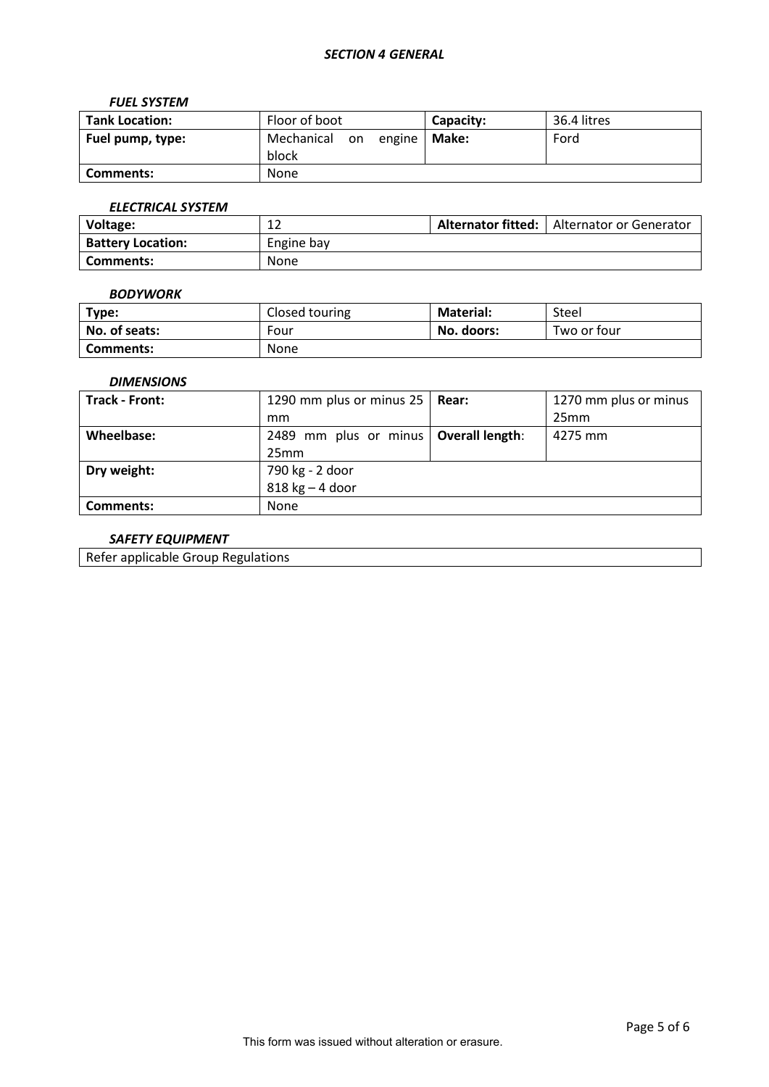### *FUEL SYSTEM*

| <b>Tank Location:</b> | Floor of boot                    | Capacity: | 36.4 litres |
|-----------------------|----------------------------------|-----------|-------------|
| Fuel pump, type:      | Mechanical<br>on engine<br>block | Make:     | Ford        |
| Comments:             | None                             |           |             |

# *ELECTRICAL SYSTEM*

| Voltage:                 | ∸∸         | Alternator fitted: | Alternator or Generator |
|--------------------------|------------|--------------------|-------------------------|
| <b>Battery Location:</b> | Engine bay |                    |                         |
| Comments:                | None       |                    |                         |

## *BODYWORK*

| Type:         | Closed touring | <b>Material:</b> | Steel       |
|---------------|----------------|------------------|-------------|
| No. of seats: | Four           | No. doors:       | Two or four |
| Comments:     | None           |                  |             |

## *DIMENSIONS*

| Track - Front: | 1290 mm plus or minus 25   Rear:        | 1270 mm plus or minus |
|----------------|-----------------------------------------|-----------------------|
|                | mm                                      | 25mm                  |
| Wheelbase:     | 2489 mm plus or minus   Overall length: | 4275 mm               |
|                | 25mm                                    |                       |
| Dry weight:    | 790 kg - 2 door                         |                       |
|                | $818$ kg $-$ 4 door                     |                       |
| Comments:      | <b>None</b>                             |                       |

# *SAFETY EQUIPMENT*

Refer applicable Group Regulations